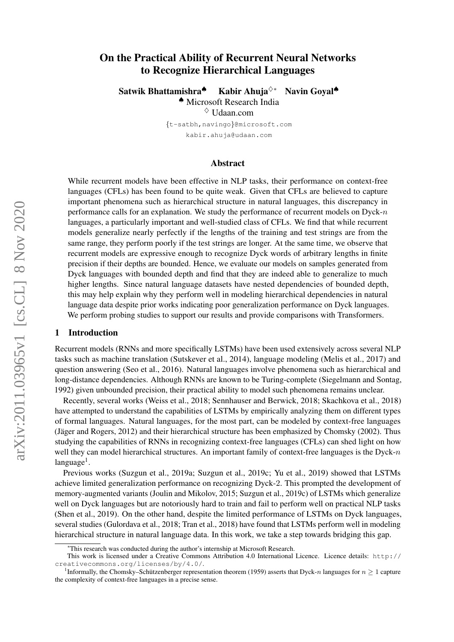# arXiv:2011.03965v1 [cs.CL] 8 Nov 2020 arXiv:2011.03965v1 [cs.CL] 8 Nov 2020

# On the Practical Ability of Recurrent Neural Networks to Recognize Hierarchical Languages

Satwik Bhattamishra<sup>♦</sup> Kabir Ahuja<sup>◇</sup>\* Navin Goyal<sup>♦</sup> ♠ Microsoft Research India  $\diamond$  Udaan.com

> {t-satbh,navingo}@microsoft.com kabir.ahuja@udaan.com

### Abstract

While recurrent models have been effective in NLP tasks, their performance on context-free languages (CFLs) has been found to be quite weak. Given that CFLs are believed to capture important phenomena such as hierarchical structure in natural languages, this discrepancy in performance calls for an explanation. We study the performance of recurrent models on Dyck-n languages, a particularly important and well-studied class of CFLs. We find that while recurrent models generalize nearly perfectly if the lengths of the training and test strings are from the same range, they perform poorly if the test strings are longer. At the same time, we observe that recurrent models are expressive enough to recognize Dyck words of arbitrary lengths in finite precision if their depths are bounded. Hence, we evaluate our models on samples generated from Dyck languages with bounded depth and find that they are indeed able to generalize to much higher lengths. Since natural language datasets have nested dependencies of bounded depth, this may help explain why they perform well in modeling hierarchical dependencies in natural language data despite prior works indicating poor generalization performance on Dyck languages. We perform probing studies to support our results and provide comparisons with Transformers.

# 1 Introduction

Recurrent models (RNNs and more specifically LSTMs) have been used extensively across several NLP tasks such as machine translation (Sutskever et al., 2014), language modeling (Melis et al., 2017) and question answering (Seo et al., 2016). Natural languages involve phenomena such as hierarchical and long-distance dependencies. Although RNNs are known to be Turing-complete (Siegelmann and Sontag, 1992) given unbounded precision, their practical ability to model such phenomena remains unclear.

Recently, several works (Weiss et al., 2018; Sennhauser and Berwick, 2018; Skachkova et al., 2018) have attempted to understand the capabilities of LSTMs by empirically analyzing them on different types of formal languages. Natural languages, for the most part, can be modeled by context-free languages (Jäger and Rogers, 2012) and their hierarchical structure has been emphasized by Chomsky (2002). Thus studying the capabilities of RNNs in recognizing context-free languages (CFLs) can shed light on how well they can model hierarchical structures. An important family of context-free languages is the Dyck- $n$ language<sup>1</sup>.

Previous works (Suzgun et al., 2019a; Suzgun et al., 2019c; Yu et al., 2019) showed that LSTMs achieve limited generalization performance on recognizing Dyck-2. This prompted the development of memory-augmented variants (Joulin and Mikolov, 2015; Suzgun et al., 2019c) of LSTMs which generalize well on Dyck languages but are notoriously hard to train and fail to perform well on practical NLP tasks (Shen et al., 2019). On the other hand, despite the limited performance of LSTMs on Dyck languages, several studies (Gulordava et al., 2018; Tran et al., 2018) have found that LSTMs perform well in modeling hierarchical structure in natural language data. In this work, we take a step towards bridging this gap.

<sup>∗</sup>This research was conducted during the author's internship at Microsoft Research.

This work is licensed under a Creative Commons Attribution 4.0 International Licence. Licence details: http:// creativecommons.org/licenses/by/4.0/.

<sup>&</sup>lt;sup>1</sup>Informally, the Chomsky–Schützenberger representation theorem (1959) asserts that Dyck-n languages for  $n \geq 1$  capture the complexity of context-free languages in a precise sense.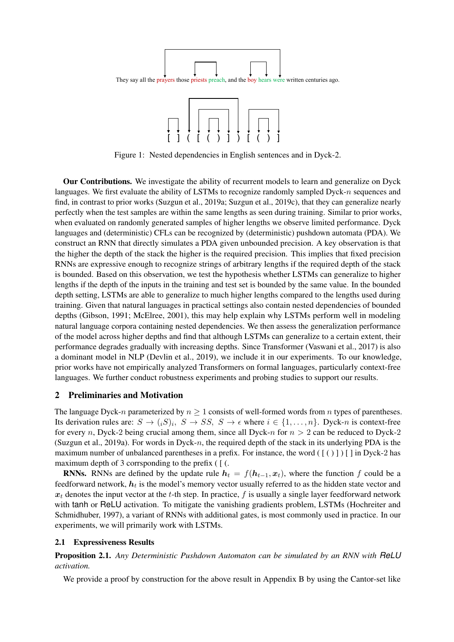



Figure 1: Nested dependencies in English sentences and in Dyck-2.

Our Contributions. We investigate the ability of recurrent models to learn and generalize on Dyck languages. We first evaluate the ability of LSTMs to recognize randomly sampled Dyck-n sequences and find, in contrast to prior works (Suzgun et al., 2019a; Suzgun et al., 2019c), that they can generalize nearly perfectly when the test samples are within the same lengths as seen during training. Similar to prior works, when evaluated on randomly generated samples of higher lengths we observe limited performance. Dyck languages and (deterministic) CFLs can be recognized by (deterministic) pushdown automata (PDA). We construct an RNN that directly simulates a PDA given unbounded precision. A key observation is that the higher the depth of the stack the higher is the required precision. This implies that fixed precision RNNs are expressive enough to recognize strings of arbitrary lengths if the required depth of the stack is bounded. Based on this observation, we test the hypothesis whether LSTMs can generalize to higher lengths if the depth of the inputs in the training and test set is bounded by the same value. In the bounded depth setting, LSTMs are able to generalize to much higher lengths compared to the lengths used during training. Given that natural languages in practical settings also contain nested dependencies of bounded depths (Gibson, 1991; McElree, 2001), this may help explain why LSTMs perform well in modeling natural language corpora containing nested dependencies. We then assess the generalization performance of the model across higher depths and find that although LSTMs can generalize to a certain extent, their performance degrades gradually with increasing depths. Since Transformer (Vaswani et al., 2017) is also a dominant model in NLP (Devlin et al., 2019), we include it in our experiments. To our knowledge, prior works have not empirically analyzed Transformers on formal languages, particularly context-free languages. We further conduct robustness experiments and probing studies to support our results.

# 2 Preliminaries and Motivation

The language Dyck-n parameterized by  $n \geq 1$  consists of well-formed words from n types of parentheses. Its derivation rules are:  $S \to (iS)_i$ ,  $S \to SS$ ,  $S \to \epsilon$  where  $i \in \{1, \ldots, n\}$ . Dyck-n is context-free for every n, Dyck-2 being crucial among them, since all Dyck-n for  $n > 2$  can be reduced to Dyck-2 (Suzgun et al., 2019a). For words in Dyck-n, the required depth of the stack in its underlying PDA is the maximum number of unbalanced parentheses in a prefix. For instance, the word  $(\lceil (\rceil) \rceil) \lceil \rceil$  in Dyck-2 has maximum depth of 3 corrsponding to the prefix  $( )$  [ $( )$ ].

**RNNs.** RNNs are defined by the update rule  $h_t = f(h_{t-1}, x_t)$ , where the function f could be a feedforward network,  $h_t$  is the model's memory vector usually referred to as the hidden state vector and  $x_t$  denotes the input vector at the t-th step. In practice, f is usually a single layer feedforward network with tanh or ReLU activation. To mitigate the vanishing gradients problem, LSTMs (Hochreiter and Schmidhuber, 1997), a variant of RNNs with additional gates, is most commonly used in practice. In our experiments, we will primarily work with LSTMs.

# 2.1 Expressiveness Results

Proposition 2.1. *Any Deterministic Pushdown Automaton can be simulated by an RNN with ReLU activation.*

We provide a proof by construction for the above result in Appendix B by using the Cantor-set like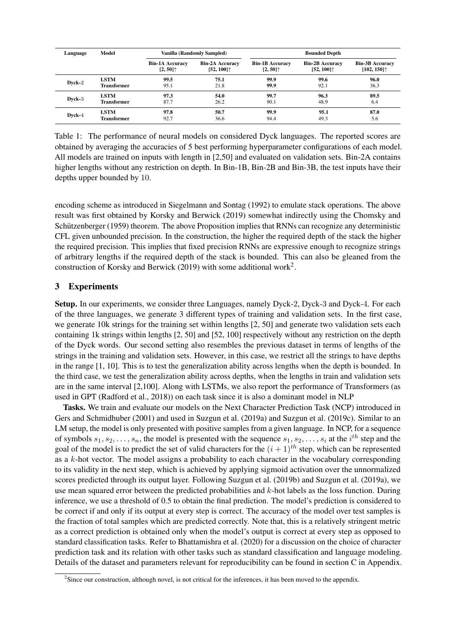| Language | Model              |                                                                      | Vanilla (Randomly Sampled)                                             | <b>Bounded Depth</b>                                                 |                                                                        |                                                 |
|----------|--------------------|----------------------------------------------------------------------|------------------------------------------------------------------------|----------------------------------------------------------------------|------------------------------------------------------------------------|-------------------------------------------------|
|          |                    | <b>Bin-1A Accuracy</b><br>$[2, 50]$ <sup><math>\uparrow</math></sup> | <b>Bin-2A Accuracy</b><br>$[52, 100]$ <sup><math>\uparrow</math></sup> | <b>Bin-1B Accuracy</b><br>$[2, 50]$ <sup><math>\uparrow</math></sup> | <b>Bin-2B Accuracy</b><br>$[52, 100]$ <sup><math>\uparrow</math></sup> | <b>Bin-3B Accuracy</b><br>[102, 150] $\uparrow$ |
| Dyck-2   | <b>LSTM</b>        | 99.5                                                                 | 75.1                                                                   | 99.9                                                                 | 99.6                                                                   | 96.0                                            |
|          | <b>Transformer</b> | 95.1                                                                 | 21.8                                                                   | 99.9                                                                 | 92.1                                                                   | 36.3                                            |
| Dyck-3   | <b>LSTM</b>        | 97.3                                                                 | 54.0                                                                   | 99.7                                                                 | 96.3                                                                   | 89.5                                            |
|          | <b>Transformer</b> | 87.7                                                                 | 26.2                                                                   | 90.1                                                                 | 48.9                                                                   | 6.4                                             |
| Dyck-4   | <b>LSTM</b>        | 97.8                                                                 | 50.7                                                                   | 99.9                                                                 | 95.1                                                                   | 87.0                                            |
|          | <b>Transformer</b> | 92.7                                                                 | 36.6                                                                   | 94.4                                                                 | 49.3                                                                   | 5.6                                             |

Table 1: The performance of neural models on considered Dyck languages. The reported scores are obtained by averaging the accuracies of 5 best performing hyperparameter configurations of each model. All models are trained on inputs with length in [2,50] and evaluated on validation sets. Bin-2A contains higher lengths without any restriction on depth. In Bin-1B, Bin-2B and Bin-3B, the test inputs have their depths upper bounded by 10.

encoding scheme as introduced in Siegelmann and Sontag (1992) to emulate stack operations. The above result was first obtained by Korsky and Berwick (2019) somewhat indirectly using the Chomsky and Schützenberger (1959) theorem. The above Proposition implies that RNNs can recognize any deterministic CFL given unbounded precision. In the construction, the higher the required depth of the stack the higher the required precision. This implies that fixed precision RNNs are expressive enough to recognize strings of arbitrary lengths if the required depth of the stack is bounded. This can also be gleaned from the construction of Korsky and Berwick (2019) with some additional work<sup>2</sup>.

# 3 Experiments

Setup. In our experiments, we consider three Languages, namely Dyck-2, Dyck-3 and Dyck-4. For each of the three languages, we generate 3 different types of training and validation sets. In the first case, we generate 10k strings for the training set within lengths [2, 50] and generate two validation sets each containing 1k strings within lengths [2, 50] and [52, 100] respectively without any restriction on the depth of the Dyck words. Our second setting also resembles the previous dataset in terms of lengths of the strings in the training and validation sets. However, in this case, we restrict all the strings to have depths in the range [1, 10]. This is to test the generalization ability across lengths when the depth is bounded. In the third case, we test the generalization ability across depths, when the lengths in train and validation sets are in the same interval [2,100]. Along with LSTMs, we also report the performance of Transformers (as used in GPT (Radford et al., 2018)) on each task since it is also a dominant model in NLP

Tasks. We train and evaluate our models on the Next Character Prediction Task (NCP) introduced in Gers and Schmidhuber (2001) and used in Suzgun et al. (2019a) and Suzgun et al. (2019c). Similar to an LM setup, the model is only presented with positive samples from a given language. In NCP, for a sequence of symbols  $s_1, s_2, \ldots, s_n$ , the model is presented with the sequence  $s_1, s_2, \ldots, s_i$  at the  $i^{th}$  step and the goal of the model is to predict the set of valid characters for the  $(i + 1)$ <sup>th</sup> step, which can be represented as a  $k$ -hot vector. The model assigns a probability to each character in the vocabulary corresponding to its validity in the next step, which is achieved by applying sigmoid activation over the unnormalized scores predicted through its output layer. Following Suzgun et al. (2019b) and Suzgun et al. (2019a), we use mean squared error between the predicted probabilities and  $k$ -hot labels as the loss function. During inference, we use a threshold of 0.5 to obtain the final prediction. The model's prediction is considered to be correct if and only if its output at every step is correct. The accuracy of the model over test samples is the fraction of total samples which are predicted correctly. Note that, this is a relatively stringent metric as a correct prediction is obtained only when the model's output is correct at every step as opposed to standard classification tasks. Refer to Bhattamishra et al. (2020) for a discussion on the choice of character prediction task and its relation with other tasks such as standard classification and language modeling. Details of the dataset and parameters relevant for reproducibility can be found in section C in Appendix.

<sup>&</sup>lt;sup>2</sup>Since our construction, although novel, is not critical for the inferences, it has been moved to the appendix.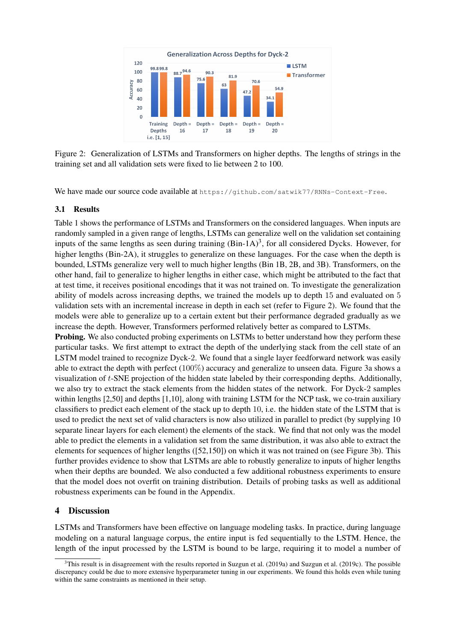

Figure 2: Generalization of LSTMs and Transformers on higher depths. The lengths of strings in the training set and all validation sets were fixed to lie between 2 to 100.

We have made our source code available at https://github.com/satwik77/RNNs-Context-Free.

### 3.1 Results

Table 1 shows the performance of LSTMs and Transformers on the considered languages. When inputs are randomly sampled in a given range of lengths, LSTMs can generalize well on the validation set containing inputs of the same lengths as seen during training  $(Bin-1A)^3$ , for all considered Dycks. However, for higher lengths (Bin-2A), it struggles to generalize on these languages. For the case when the depth is bounded, LSTMs generalize very well to much higher lengths (Bin 1B, 2B, and 3B). Transformers, on the other hand, fail to generalize to higher lengths in either case, which might be attributed to the fact that at test time, it receives positional encodings that it was not trained on. To investigate the generalization ability of models across increasing depths, we trained the models up to depth 15 and evaluated on 5 validation sets with an incremental increase in depth in each set (refer to Figure 2). We found that the models were able to generalize up to a certain extent but their performance degraded gradually as we increase the depth. However, Transformers performed relatively better as compared to LSTMs.

**Probing.** We also conducted probing experiments on LSTMs to better understand how they perform these particular tasks. We first attempt to extract the depth of the underlying stack from the cell state of an LSTM model trained to recognize Dyck-2. We found that a single layer feedforward network was easily able to extract the depth with perfect (100%) accuracy and generalize to unseen data. Figure 3a shows a visualization of t-SNE projection of the hidden state labeled by their corresponding depths. Additionally, we also try to extract the stack elements from the hidden states of the network. For Dyck-2 samples within lengths [2,50] and depths [1,10], along with training LSTM for the NCP task, we co-train auxiliary classifiers to predict each element of the stack up to depth 10, i.e. the hidden state of the LSTM that is used to predict the next set of valid characters is now also utilized in parallel to predict (by supplying 10 separate linear layers for each element) the elements of the stack. We find that not only was the model able to predict the elements in a validation set from the same distribution, it was also able to extract the elements for sequences of higher lengths ([52,150]) on which it was not trained on (see Figure 3b). This further provides evidence to show that LSTMs are able to robustly generalize to inputs of higher lengths when their depths are bounded. We also conducted a few additional robustness experiments to ensure that the model does not overfit on training distribution. Details of probing tasks as well as additional robustness experiments can be found in the Appendix.

# 4 Discussion

LSTMs and Transformers have been effective on language modeling tasks. In practice, during language modeling on a natural language corpus, the entire input is fed sequentially to the LSTM. Hence, the length of the input processed by the LSTM is bound to be large, requiring it to model a number of

 $3$ This result is in disagreement with the results reported in Suzgun et al. (2019a) and Suzgun et al. (2019c). The possible discrepancy could be due to more extensive hyperparameter tuning in our experiments. We found this holds even while tuning within the same constraints as mentioned in their setup.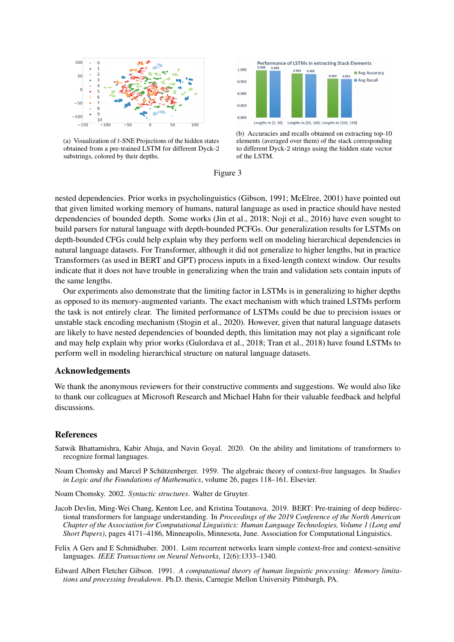

 $1.000$  $0.983$ Avg Accuracy  $0.963$  $0.961$ Avg Recall  $0.950$ 0.900 0.850  $0.800$ Lengths in [2, 50] Lengths in [52, 100] Lengths in [102, 150]

**Performance of LSTMs in extracting Stack Elements** 

(a) Visualization of  $t$ -SNE Projections of the hidden states obtained from a pre-trained LSTM for different Dyck-2 substrings, colored by their depths.





nested dependencies. Prior works in psycholinguistics (Gibson, 1991; McElree, 2001) have pointed out that given limited working memory of humans, natural language as used in practice should have nested dependencies of bounded depth. Some works (Jin et al., 2018; Noji et al., 2016) have even sought to build parsers for natural language with depth-bounded PCFGs. Our generalization results for LSTMs on depth-bounded CFGs could help explain why they perform well on modeling hierarchical dependencies in natural language datasets. For Transformer, although it did not generalize to higher lengths, but in practice Transformers (as used in BERT and GPT) process inputs in a fixed-length context window. Our results indicate that it does not have trouble in generalizing when the train and validation sets contain inputs of the same lengths.

Our experiments also demonstrate that the limiting factor in LSTMs is in generalizing to higher depths as opposed to its memory-augmented variants. The exact mechanism with which trained LSTMs perform the task is not entirely clear. The limited performance of LSTMs could be due to precision issues or unstable stack encoding mechanism (Stogin et al., 2020). However, given that natural language datasets are likely to have nested dependencies of bounded depth, this limitation may not play a significant role and may help explain why prior works (Gulordava et al., 2018; Tran et al., 2018) have found LSTMs to perform well in modeling hierarchical structure on natural language datasets.

### Acknowledgements

We thank the anonymous reviewers for their constructive comments and suggestions. We would also like to thank our colleagues at Microsoft Research and Michael Hahn for their valuable feedback and helpful discussions.

### References

- Satwik Bhattamishra, Kabir Ahuja, and Navin Goyal. 2020. On the ability and limitations of transformers to recognize formal languages.
- Noam Chomsky and Marcel P Schützenberger. 1959. The algebraic theory of context-free languages. In *Studies in Logic and the Foundations of Mathematics*, volume 26, pages 118–161. Elsevier.

Noam Chomsky. 2002. *Syntactic structures*. Walter de Gruyter.

- Jacob Devlin, Ming-Wei Chang, Kenton Lee, and Kristina Toutanova. 2019. BERT: Pre-training of deep bidirectional transformers for language understanding. In *Proceedings of the 2019 Conference of the North American Chapter of the Association for Computational Linguistics: Human Language Technologies, Volume 1 (Long and Short Papers)*, pages 4171–4186, Minneapolis, Minnesota, June. Association for Computational Linguistics.
- Felix A Gers and E Schmidhuber. 2001. Lstm recurrent networks learn simple context-free and context-sensitive languages. *IEEE Transactions on Neural Networks*, 12(6):1333–1340.
- Edward Albert Fletcher Gibson. 1991. *A computational theory of human linguistic processing: Memory limitations and processing breakdown*. Ph.D. thesis, Carnegie Mellon University Pittsburgh, PA.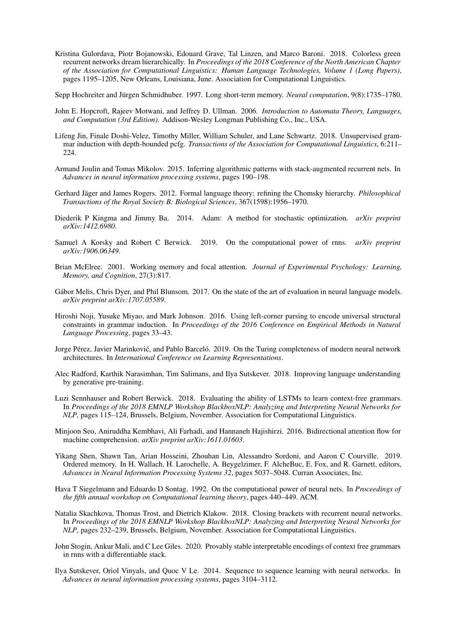Kristina Gulordava, Piotr Bojanowski, Edouard Grave, Tal Linzen, and Marco Baroni. 2018. Colorless green recurrent networks dream hierarchically. In *Proceedings of the 2018 Conference of the North American Chapter of the Association for Computational Linguistics: Human Language Technologies, Volume 1 (Long Papers)*, pages 1195–1205, New Orleans, Louisiana, June. Association for Computational Linguistics.

Sepp Hochreiter and Jürgen Schmidhuber. 1997. Long short-term memory. *Neural computation*, 9(8):1735–1780.

- John E. Hopcroft, Rajeev Motwani, and Jeffrey D. Ullman. 2006. *Introduction to Automata Theory, Languages, and Computation (3rd Edition)*. Addison-Wesley Longman Publishing Co., Inc., USA.
- Lifeng Jin, Finale Doshi-Velez, Timothy Miller, William Schuler, and Lane Schwartz. 2018. Unsupervised grammar induction with depth-bounded pcfg. *Transactions of the Association for Computational Linguistics*, 6:211–  $224$
- Armand Joulin and Tomas Mikolov. 2015. Inferring algorithmic patterns with stack-augmented recurrent nets. In *Advances in neural information processing systems*, pages 190–198.
- Gerhard Jäger and James Rogers. 2012. Formal language theory: refining the Chomsky hierarchy. *Philosophical Transactions of the Royal Society B: Biological Sciences*, 367(1598):1956–1970.
- Diederik P Kingma and Jimmy Ba. 2014. Adam: A method for stochastic optimization. *arXiv preprint arXiv:1412.6980*.
- Samuel A Korsky and Robert C Berwick. 2019. On the computational power of rnns. *arXiv preprint arXiv:1906.06349*.
- Brian McElree. 2001. Working memory and focal attention. *Journal of Experimental Psychology: Learning, Memory, and Cognition*, 27(3):817.
- Gábor Melis, Chris Dyer, and Phil Blunsom. 2017. On the state of the art of evaluation in neural language models. *arXiv preprint arXiv:1707.05589*.
- Hiroshi Noji, Yusuke Miyao, and Mark Johnson. 2016. Using left-corner parsing to encode universal structural constraints in grammar induction. In *Proceedings of the 2016 Conference on Empirical Methods in Natural Language Processing*, pages 33–43.
- Jorge Pérez, Javier Marinković, and Pablo Barceló. 2019. On the Turing completeness of modern neural network architectures. In *International Conference on Learning Representations*.
- Alec Radford, Karthik Narasimhan, Tim Salimans, and Ilya Sutskever. 2018. Improving language understanding by generative pre-training.
- Luzi Sennhauser and Robert Berwick. 2018. Evaluating the ability of LSTMs to learn context-free grammars. In *Proceedings of the 2018 EMNLP Workshop BlackboxNLP: Analyzing and Interpreting Neural Networks for NLP*, pages 115–124, Brussels, Belgium, November. Association for Computational Linguistics.
- Minjoon Seo, Aniruddha Kembhavi, Ali Farhadi, and Hannaneh Hajishirzi. 2016. Bidirectional attention flow for machine comprehension. *arXiv preprint arXiv:1611.01603*.
- Yikang Shen, Shawn Tan, Arian Hosseini, Zhouhan Lin, Alessandro Sordoni, and Aaron C Courville. 2019. Ordered memory. In H. Wallach, H. Larochelle, A. Beygelzimer, F. AlcheBuc, E. Fox, and R. Garnett, editors, *Advances in Neural Information Processing Systems 32*, pages 5037–5048. Curran Associates, Inc.
- Hava T Siegelmann and Eduardo D Sontag. 1992. On the computational power of neural nets. In *Proceedings of the fifth annual workshop on Computational learning theory*, pages 440–449. ACM.
- Natalia Skachkova, Thomas Trost, and Dietrich Klakow. 2018. Closing brackets with recurrent neural networks. In *Proceedings of the 2018 EMNLP Workshop BlackboxNLP: Analyzing and Interpreting Neural Networks for NLP*, pages 232–239, Brussels, Belgium, November. Association for Computational Linguistics.
- John Stogin, Ankur Mali, and C Lee Giles. 2020. Provably stable interpretable encodings of context free grammars in rnns with a differentiable stack.
- Ilya Sutskever, Oriol Vinyals, and Quoc V Le. 2014. Sequence to sequence learning with neural networks. In *Advances in neural information processing systems*, pages 3104–3112.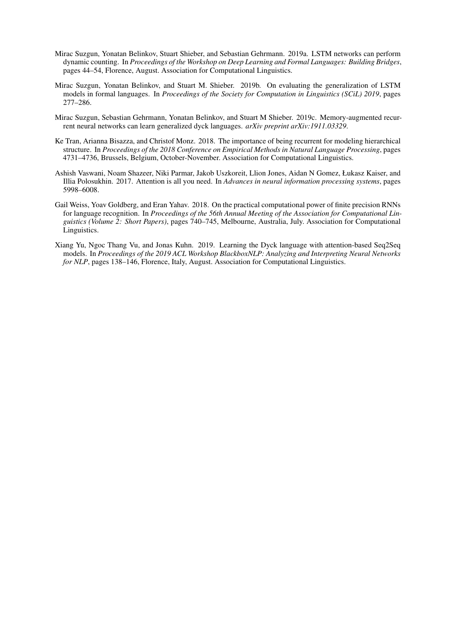- Mirac Suzgun, Yonatan Belinkov, Stuart Shieber, and Sebastian Gehrmann. 2019a. LSTM networks can perform dynamic counting. In *Proceedings of the Workshop on Deep Learning and Formal Languages: Building Bridges*, pages 44–54, Florence, August. Association for Computational Linguistics.
- Mirac Suzgun, Yonatan Belinkov, and Stuart M. Shieber. 2019b. On evaluating the generalization of LSTM models in formal languages. In *Proceedings of the Society for Computation in Linguistics (SCiL) 2019*, pages 277–286.
- Mirac Suzgun, Sebastian Gehrmann, Yonatan Belinkov, and Stuart M Shieber. 2019c. Memory-augmented recurrent neural networks can learn generalized dyck languages. *arXiv preprint arXiv:1911.03329*.
- Ke Tran, Arianna Bisazza, and Christof Monz. 2018. The importance of being recurrent for modeling hierarchical structure. In *Proceedings of the 2018 Conference on Empirical Methods in Natural Language Processing*, pages 4731–4736, Brussels, Belgium, October-November. Association for Computational Linguistics.
- Ashish Vaswani, Noam Shazeer, Niki Parmar, Jakob Uszkoreit, Llion Jones, Aidan N Gomez, Łukasz Kaiser, and Illia Polosukhin. 2017. Attention is all you need. In *Advances in neural information processing systems*, pages 5998–6008.
- Gail Weiss, Yoav Goldberg, and Eran Yahav. 2018. On the practical computational power of finite precision RNNs for language recognition. In *Proceedings of the 56th Annual Meeting of the Association for Computational Linguistics (Volume 2: Short Papers)*, pages 740–745, Melbourne, Australia, July. Association for Computational Linguistics.
- Xiang Yu, Ngoc Thang Vu, and Jonas Kuhn. 2019. Learning the Dyck language with attention-based Seq2Seq models. In *Proceedings of the 2019 ACL Workshop BlackboxNLP: Analyzing and Interpreting Neural Networks for NLP*, pages 138–146, Florence, Italy, August. Association for Computational Linguistics.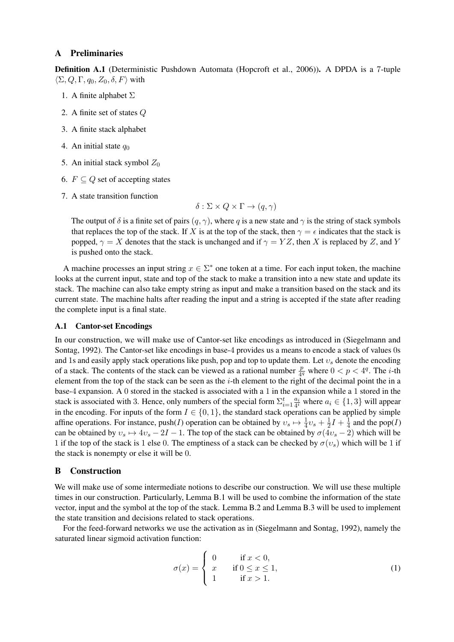### A Preliminaries

Definition A.1 (Deterministic Pushdown Automata (Hopcroft et al., 2006)). A DPDA is a 7-tuple  $\langle \Sigma, Q, \Gamma, q_0, Z_0, \delta, F \rangle$  with

- 1. A finite alphabet  $\Sigma$
- 2. A finite set of states Q
- 3. A finite stack alphabet
- 4. An initial state  $q_0$
- 5. An initial stack symbol  $Z_0$
- 6.  $F \subset Q$  set of accepting states
- 7. A state transition function

 $\delta : \Sigma \times Q \times \Gamma \to (q, \gamma)$ 

The output of  $\delta$  is a finite set of pairs  $(q, \gamma)$ , where q is a new state and  $\gamma$  is the string of stack symbols that replaces the top of the stack. If X is at the top of the stack, then  $\gamma = \epsilon$  indicates that the stack is popped,  $\gamma = X$  denotes that the stack is unchanged and if  $\gamma = YZ$ , then X is replaced by Z, and Y is pushed onto the stack.

A machine processes an input string  $x \in \Sigma^*$  one token at a time. For each input token, the machine looks at the current input, state and top of the stack to make a transition into a new state and update its stack. The machine can also take empty string as input and make a transition based on the stack and its current state. The machine halts after reading the input and a string is accepted if the state after reading the complete input is a final state.

### A.1 Cantor-set Encodings

In our construction, we will make use of Cantor-set like encodings as introduced in (Siegelmann and Sontag, 1992). The Cantor-set like encodings in base-4 provides us a means to encode a stack of values 0s and 1s and easily apply stack operations like push, pop and top to update them. Let  $v_s$  denote the encoding of a stack. The contents of the stack can be viewed as a rational number  $\frac{p}{4^q}$  where  $0 < p < 4^q$ . The *i*-th element from the top of the stack can be seen as the  $i$ -th element to the right of the decimal point the in a base-4 expansion. A 0 stored in the stacked is associated with a 1 in the expansion while a 1 stored in the stack is associated with 3. Hence, only numbers of the special form  $\Sigma_{i=1}^t \frac{a_i}{4}$  where  $a_i \in \{1,3\}$  will appear in the encoding. For inputs of the form  $I \in \{0, 1\}$ , the standard stack operations can be applied by simple affine operations. For instance,  $push(I)$  operation can be obtained by  $v_s \mapsto \frac{1}{4}v_s + \frac{1}{2}$  $\frac{1}{2}I + \frac{1}{4}$  $\frac{1}{4}$  and the pop(*I*) can be obtained by  $v_s \mapsto 4v_s - 2I - 1$ . The top of the stack can be obtained by  $\sigma(4v_s - 2)$  which will be 1 if the top of the stack is 1 else 0. The emptiness of a stack can be checked by  $\sigma(v_s)$  which will be 1 if the stack is nonempty or else it will be 0.

# B Construction

We will make use of some intermediate notions to describe our construction. We will use these multiple times in our construction. Particularly, Lemma B.1 will be used to combine the information of the state vector, input and the symbol at the top of the stack. Lemma B.2 and Lemma B.3 will be used to implement the state transition and decisions related to stack operations.

For the feed-forward networks we use the activation as in (Siegelmann and Sontag, 1992), namely the saturated linear sigmoid activation function:

$$
\sigma(x) = \begin{cases}\n0 & \text{if } x < 0, \\
x & \text{if } 0 \le x \le 1, \\
1 & \text{if } x > 1.\n\end{cases}
$$
\n(1)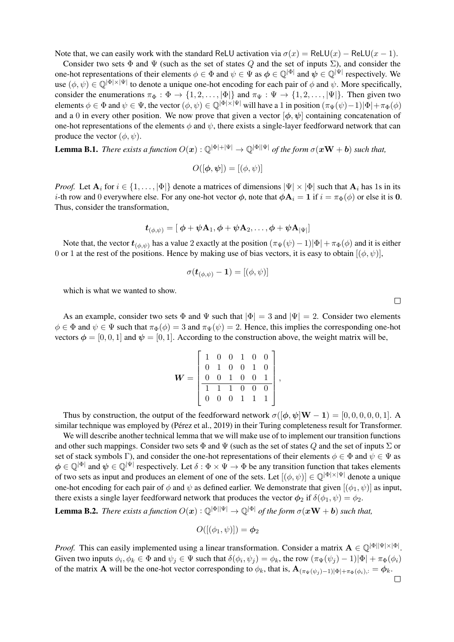Note that, we can easily work with the standard ReLU activation via  $\sigma(x) = \text{ReLU}(x) - \text{ReLU}(x - 1)$ .

Consider two sets  $\Phi$  and  $\Psi$  (such as the set of states Q and the set of inputs  $\Sigma$ ), and consider the one-hot representations of their elements  $\phi \in \Phi$  and  $\psi \in \Psi$  as  $\phi \in \mathbb{Q}^{|\Phi|}$  and  $\psi \in \mathbb{Q}^{|\Psi|}$  respectively. We use  $(\phi, \psi) \in \mathbb{Q}^{|\Phi| \times |\Psi|}$  to denote a unique one-hot encoding for each pair of  $\phi$  and  $\psi$ . More specifically, consider the enumerations  $\pi_{\Phi}: \Phi \to \{1, 2, \ldots, |\Phi|\}$  and  $\pi_{\Psi}: \Psi \to \{1, 2, \ldots, |\Psi|\}.$  Then given two elements  $\phi \in \Phi$  and  $\psi \in \Psi$ , the vector  $(\phi, \psi) \in \mathbb{Q}^{|\Phi| \times |\Psi|}$  will have a 1 in position  $(\pi_{\Psi}(\psi) - 1)|\Phi| + \pi_{\Phi}(\phi)$ and a 0 in every other position. We now prove that given a vector  $[\phi, \psi]$  containing concatenation of one-hot representations of the elements  $\phi$  and  $\psi$ , there exists a single-layer feedforward network that can produce the vector  $(\phi, \psi)$ .

**Lemma B.1.** *There exists a function*  $O(x): \mathbb{Q}^{|\Phi|+|\Psi|} \to \mathbb{Q}^{|\Phi||\Psi|}$  *of the form*  $\sigma(xW + b)$  *such that,* 

$$
O([\boldsymbol{\phi}, \boldsymbol{\psi}]) = [(\phi, \psi)]
$$

*Proof.* Let  $A_i$  for  $i \in \{1, ..., |\Phi|\}$  denote a matrices of dimensions  $|\Psi| \times |\Phi|$  such that  $A_i$  has 1s in its *i*-th row and 0 everywhere else. For any one-hot vector  $\phi$ , note that  $\phi \mathbf{A}_i = 1$  if  $i = \pi_{\Phi}(\phi)$  or else it is 0. Thus, consider the transformation,

$$
\boldsymbol{t}_{(\phi,\psi)} = [\ \boldsymbol{\phi} + \boldsymbol{\psi}\mathbf{A}_1, \boldsymbol{\phi} + \boldsymbol{\psi}\mathbf{A}_2, \ldots, \boldsymbol{\phi} + \boldsymbol{\psi}\mathbf{A}_{|\Psi|}]
$$

Note that, the vector  $t_{(\phi,\psi)}$  has a value 2 exactly at the position  $(\pi_{\Psi}(\psi) - 1)|\Phi| + \pi_{\Phi}(\phi)$  and it is either 0 or 1 at the rest of the positions. Hence by making use of bias vectors, it is easy to obtain  $[(\phi, \psi)]$ ,

$$
\sigma(\bm{t}_{(\phi,\psi)}-\bm{1})=[(\phi,\psi)]
$$

which is what we wanted to show.

As an example, consider two sets  $\Phi$  and  $\Psi$  such that  $|\Phi| = 3$  and  $|\Psi| = 2$ . Consider two elements  $\phi \in \Phi$  and  $\psi \in \Psi$  such that  $\pi_{\Phi}(\phi) = 3$  and  $\pi_{\Psi}(\psi) = 2$ . Hence, this implies the corresponding one-hot vectors  $\phi = [0, 0, 1]$  and  $\psi = [0, 1]$ . According to the construction above, the weight matrix will be,

$$
\boldsymbol{W} = \left[ \begin{array}{cccccc} 1 & 0 & 0 & 1 & 0 & 0 \\ 0 & 1 & 0 & 0 & 1 & 0 \\ 0 & 0 & 1 & 0 & 0 & 1 \\ \hline 1 & 1 & 1 & 0 & 0 & 0 \\ 0 & 0 & 0 & 1 & 1 & 1 \end{array} \right],
$$

Thus by construction, the output of the feedforward network  $\sigma([\phi, \psi]W - 1) = [0, 0, 0, 0, 0, 1]$ . similar technique was employed by (Pérez et al., 2019) in their Turing completeness result for Transformer.

We will describe another technical lemma that we will make use of to implement our transition functions and other such mappings. Consider two sets  $\Phi$  and  $\Psi$  (such as the set of states Q and the set of inputs  $\Sigma$  or set of stack symbols Γ), and consider the one-hot representations of their elements  $\phi \in \Phi$  and  $\psi \in \Psi$  as  $\phi \in \mathbb{Q}^{|\Phi|}$  and  $\psi \in \mathbb{Q}^{|\Psi|}$  respectively. Let  $\delta : \Phi \times \Psi \to \Phi$  be any transition function that takes elements of two sets as input and produces an element of one of the sets. Let  $[(\phi, \psi)] \in \mathbb{Q}^{|\Phi| \times |\Psi|}$  denote a unique one-hot encoding for each pair of  $\phi$  and  $\psi$  as defined earlier. We demonstrate that given  $[(\phi_1, \psi)]$  as input, there exists a single layer feedforward network that produces the vector  $\phi_2$  if  $\delta(\phi_1, \psi) = \phi_2$ .

**Lemma B.2.** *There exists a function*  $O(x) : \mathbb{Q}^{|\Phi||\Psi|} \to \mathbb{Q}^{|\Phi|}$  *of the form*  $\sigma(xW + b)$  *such that,* 

$$
O([(\phi_1,\psi)]) = \phi_2
$$

*Proof.* This can easily implemented using a linear transformation. Consider a matrix  $\mathbf{A} \in \mathbb{Q}^{|\Phi||\Psi| \times |\Phi|}$ . Given two inputs  $\phi_i, \phi_k \in \Phi$  and  $\psi_j \in \Psi$  such that  $\delta(\phi_i, \psi_j) = \phi_k$ , the row  $(\pi_{\Psi}(\psi_j) - 1)|\Phi| + \pi_{\Phi}(\phi_i)$ of the matrix **A** will be the one-hot vector corresponding to  $\phi_k$ , that is,  $\mathbf{A}_{(\pi_{\Psi}(\psi_j)-1)|\Phi|+\pi_{\Phi}(\phi_i),:}=\phi_k$ .  $\Box$ 

 $\Box$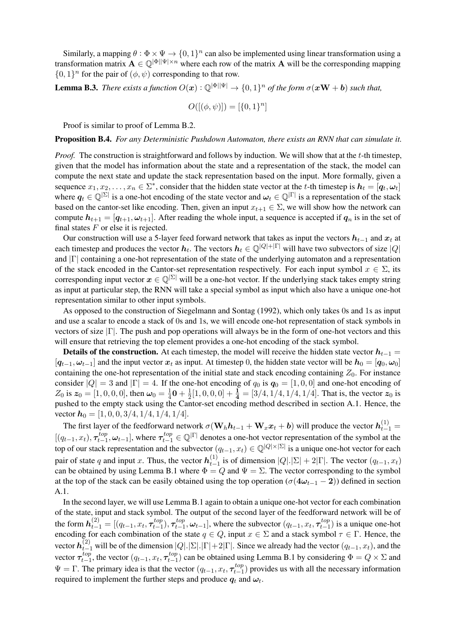Similarly, a mapping  $\theta : \Phi \times \Psi \to \{0, 1\}^n$  can also be implemented using linear transformation using a transformation matrix  $\mathbf{A} \in \mathbb{Q}^{|\Phi||\Psi| \times n}$  where each row of the matrix  $\mathbf{A}$  will be the corresponding mapping  $\{0, 1\}^n$  for the pair of  $(\phi, \psi)$  corresponding to that row.

**Lemma B.3.** *There exists a function*  $O(x) : \mathbb{Q}^{|\Phi||\Psi|} \to \{0,1\}^n$  *of the form*  $\sigma(xW + b)$  *such that,* 

$$
O([(\phi, \psi)]) = [\{0, 1\}^n]
$$

Proof is similar to proof of Lemma B.2.

Proposition B.4. *For any Deterministic Pushdown Automaton, there exists an RNN that can simulate it.*

*Proof.* The construction is straightforward and follows by induction. We will show that at the t-th timestep, given that the model has information about the state and a representation of the stack, the model can compute the next state and update the stack representation based on the input. More formally, given a sequence  $x_1, x_2, \ldots, x_n \in \Sigma^*$ , consider that the hidden state vector at the t-th timestep is  $h_t = [q_t, \omega_t]$ where  $q_t \in \mathbb{Q}^{|\Sigma|}$  is a one-hot encoding of the state vector and  $\omega_t \in \mathbb{Q}^{|\Gamma|}$  is a representation of the stack based on the cantor-set like encoding. Then, given an input  $x_{t+1} \in \Sigma$ , we will show how the network can compute  $h_{t+1} = [q_{t+1}, \omega_{t+1}]$ . After reading the whole input, a sequence is accepted if  $q_n$  is in the set of final states  $F$  or else it is rejected.

Our construction will use a 5-layer feed forward network that takes as input the vectors  $h_{t-1}$  and  $x_t$  at each timestep and produces the vector  $h_t$ . The vectors  $h_t \in \mathbb{Q}^{|Q|+|\Gamma|}$  will have two subvectors of size  $|Q|$ and |Γ| containing a one-hot representation of the state of the underlying automaton and a representation of the stack encoded in the Cantor-set representation respectively. For each input symbol  $x \in \Sigma$ , its corresponding input vector  $x \in \mathbb{Q}^{\vert \Sigma \vert}$  will be a one-hot vector. If the underlying stack takes empty string as input at particular step, the RNN will take a special symbol as input which also have a unique one-hot representation similar to other input symbols.

As opposed to the construction of Siegelmann and Sontag (1992), which only takes 0s and 1s as input and use a scalar to encode a stack of 0s and 1s, we will encode one-hot representation of stack symbols in vectors of size |Γ|. The push and pop operations will always be in the form of one-hot vectors and this will ensure that retrieving the top element provides a one-hot encoding of the stack symbol.

**Details of the construction.** At each timestep, the model will receive the hidden state vector  $h_{t-1}$  =  $[q_{t-1}, \omega_{t-1}]$  and the input vector  $x_t$  as input. At timestep 0, the hidden state vector will be  $h_0 = [q_0, \omega_0]$ containing the one-hot representation of the initial state and stack encoding containing  $Z_0$ . For instance consider  $|Q| = 3$  and  $|\Gamma| = 4$ . If the one-hot encoding of  $q_0$  is  $q_0 = [1, 0, 0]$  and one-hot encoding of  $Z_0$  is  $z_0 = [1, 0, 0, 0]$ , then  $\omega_0 = \frac{1}{4}$  $\frac{1}{4}$ 0 +  $\frac{1}{2}$  $\frac{1}{2}[1, 0, 0, 0] + \frac{1}{4} = [3/4, 1/4, 1/4, 1/4]$ . That is, the vector  $z_0$  is pushed to the empty stack using the Cantor-set encoding method described in section A.1. Hence, the vector  $h_0 = [1, 0, 0, 3/4, 1/4, 1/4, 1/4]$ .

The first layer of the feedforward network  $\sigma(\mathbf{W}_h \bm{h}_{t-1} + \mathbf{W}_x \bm{x}_t + \bm{b})$  will produce the vector  $\bm{h}^{(1)}_{t-1} =$  $[(q_{t-1}, x_t), \tau_{t-1}^{top}]$  $[t_{t-1}^{top}, \omega_{t-1}]$ , where  $\tau_{t-1}^{top} \in \mathbb{Q}^{|\Gamma|}$  denotes a one-hot vector representation of the symbol at the top of our stack representation and the subvector  $(q_{t-1}, x_t) \in \mathbb{Q}^{|Q| \times |\Sigma|}$  is a unique one-hot vector for each pair of state q and input x. Thus, the vector  $h_{t-}^{(1)}$  $t_{t-1}^{(1)}$  is of dimension  $|Q|$ .  $|\Sigma| + 2|\Gamma|$ . The vector  $(q_{t-1}, x_t)$ can be obtained by using Lemma B.1 where  $\Phi = Q$  and  $\Psi = \Sigma$ . The vector corresponding to the symbol at the top of the stack can be easily obtained using the top operation  $(\sigma(4\omega_{t-1} - 2))$  defined in section A.1.

In the second layer, we will use Lemma B.1 again to obtain a unique one-hot vector for each combination of the state, input and stack symbol. The output of the second layer of the feedforward network will be of the form  $\bm{h}_{t-1}^{(2)} = [(q_{t-1}, x_t, \bm{\tau}_{t-1}^{top}$  $(\tau_{t-1}^{top}), \tau_{t-1}^{top}$  $\mathcal{L}_{t-1}^{top}, \boldsymbol{\omega}_{t-1}]$ , where the subvector  $(q_{t-1}, x_t, \boldsymbol{\tau}_{t-1}^{top})$  $t_{t-1}^{top}$ ) is a unique one-hot encoding for each combination of the state  $q \in Q$ , input  $x \in \Sigma$  and a stack symbol  $\tau \in \Gamma$ . Hence, the vector  $h_{t-1}^{(2)}$  will be of the dimension  $|Q|.|\Sigma|.|\Gamma|+2|\Gamma|$ . Since we already had the vector  $(q_{t-1},x_t)$ , and the vector  $\tau_{t-1}^{top}$  $t_{t-1}^{top}$ , the vector  $(q_{t-1}, x_t, \tau_{t-1}^{top})$  $_{t-1}^{top}$ ) can be obtained using Lemma B.1 by considering  $\Phi = Q \times \Sigma$  and  $\Psi = \Gamma$ . The primary idea is that the vector  $(q_{t-1}, x_t, \tau_{t-1}^{top})$  $_{t-1}^{top}$ ) provides us with all the necessary information required to implement the further steps and produce  $q_t$  and  $\omega_t$ .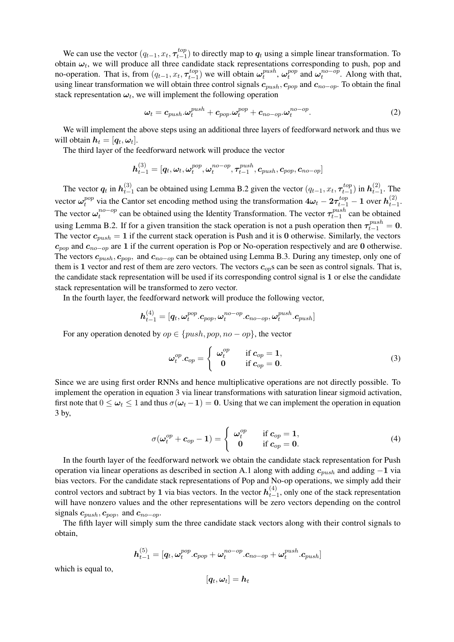We can use the vector  $(q_{t-1}, x_t, \tau_{t-1}^{top})$  $_{t-1}^{top}$ ) to directly map to  $q_t$  using a simple linear transformation. To obtain  $\omega_t$ , we will produce all three candidate stack representations corresponding to push, pop and no-operation. That is, from  $(q_{t-1}, x_t, \tau_{t-1}^{top})$  $\mathcal{L}_{t-1}^{top}$ ) we will obtain  $\omega_t^{push}$  $_{t}^{push}, \pmb{\omega}_{t}^{pop}$  $t_t^{pop}$  and  $\omega_t^{no-op}$  $t_t^{no-op}$ . Along with that, using linear transformation we will obtain three control signals  $c_{push}$ ,  $c_{pop}$  and  $c_{no-op}$ . To obtain the final stack representation  $\boldsymbol{\omega}_t$ , we will implement the following operation

$$
\boldsymbol{\omega}_t = \boldsymbol{c}_{push}.\boldsymbol{\omega}_t^{push} + \boldsymbol{c}_{pop}.\boldsymbol{\omega}_t^{pop} + \boldsymbol{c}_{no-op}.\boldsymbol{\omega}_t^{no-op}.
$$
 (2)

We will implement the above steps using an additional three layers of feedforward network and thus we will obtain  $\boldsymbol{h}_t = [\boldsymbol{q}_t, \boldsymbol{\omega}_t].$ 

The third layer of the feedforward network will produce the vector

$$
\boldsymbol{h}_{t-1}^{(3)} = [\boldsymbol{q}_t, \boldsymbol{\omega}_t, \boldsymbol{\omega}_t^{pop}, \boldsymbol{\omega}_t^{no-op}, \boldsymbol{\tau}_{t-1}^{push}, \boldsymbol{c}_{push}, \boldsymbol{c}_{pop}, \boldsymbol{c}_{no-op}]
$$

The vector  $q_t$  in  $h_{t-1}^{(3)}$ (3) can be obtained using Lemma B.2 given the vector  $(q_{t-1}, x_t, \tau_{t-1}^{top})$  $\bm{h}_{t-1}^{top})$  in  $\bm{h}_{t-}^{(2)}$  $\sum_{t=1}^{(2)}$ . The vector  $\omega_t^{pop}$  $t^{pop}_t$  via the Cantor set encoding method using the transformation  $4\omega_t - 2\tau^{top}_{t-1} - 1$  over  $h^{(2)}_{t-1}$  $\frac{(2)}{t-1}$ . The vector  $\omega_t^{no-op}$  $t^{no-op}_t$  can be obtained using the Identity Transformation. The vector  $\tau_{t-1}^{push}$  $t-1$  can be obtained using Lemma B.2. If for a given transition the stack operation is not a push operation then  $\tau_{t-1}^{push} = 0$ . The vector  $c_{push} = 1$  if the current stack operation is Push and it is 0 otherwise. Similarly, the vectors  $c_{pop}$  and  $c_{no-op}$  are 1 if the current operation is Pop or No-operation respectively and are 0 otherwise. The vectors  $c_{push}$ ,  $c_{pop}$ , and  $c_{no-op}$  can be obtained using Lemma B.3. During any timestep, only one of them is 1 vector and rest of them are zero vectors. The vectors  $c_{op}$ s can be seen as control signals. That is, the candidate stack representation will be used if its corresponding control signal is 1 or else the candidate stack representation will be transformed to zero vector.

In the fourth layer, the feedforward network will produce the following vector,

$$
\boldsymbol{h}_{t-1}^{(4)} = [\boldsymbol{q}_t, \boldsymbol{\omega}_t^{pop}.\boldsymbol{c}_{pop}, \boldsymbol{\omega}_t^{no-op}.\boldsymbol{c}_{no-op}, \boldsymbol{\omega}_t^{push}.\boldsymbol{c}_{push}]
$$

For any operation denoted by  $op \in \{push, pop, no - op\}$ , the vector

$$
\boldsymbol{\omega}_t^{op}.\boldsymbol{c}_{op} = \begin{cases} \boldsymbol{\omega}_t^{op} & \text{if } \boldsymbol{c}_{op} = 1, \\ \boldsymbol{0} & \text{if } \boldsymbol{c}_{op} = \boldsymbol{0}. \end{cases}
$$
 (3)

Since we are using first order RNNs and hence multiplicative operations are not directly possible. To implement the operation in equation 3 via linear transformations with saturation linear sigmoid activation, first note that  $0 \leq \omega_t \leq 1$  and thus  $\sigma(\omega_t - 1) = 0$ . Using that we can implement the operation in equation 3 by,

$$
\sigma(\omega_t^{op} + c_{op} - 1) = \begin{cases} \omega_t^{op} & \text{if } c_{op} = 1, \\ 0 & \text{if } c_{op} = 0. \end{cases}
$$
 (4)

In the fourth layer of the feedforward network we obtain the candidate stack representation for Push operation via linear operations as described in section A.1 along with adding  $c_{push}$  and adding  $-1$  via bias vectors. For the candidate stack representations of Pop and No-op operations, we simply add their control vectors and subtract by 1 via bias vectors. In the vector  $h_{t-}^{(4)}$  $_{t-1}^{(4)}$ , only one of the stack representation will have nonzero values and the other representations will be zero vectors depending on the control signals  $c_{push}, c_{pop}$ , and  $c_{no-op}$ .

The fifth layer will simply sum the three candidate stack vectors along with their control signals to obtain,

$$
\boldsymbol{h}_{t-1}^{(5)} = [\boldsymbol{q}_t, \boldsymbol{\omega}_t^{pop}.\boldsymbol{c}_{pop} + \boldsymbol{\omega}_t^{no-op}.\boldsymbol{c}_{no-op} + \boldsymbol{\omega}_t^{push}.\boldsymbol{c}_{push}]
$$

which is equal to,

$$
[\boldsymbol{q}_t,\boldsymbol{\omega}_t]=\boldsymbol{h}_t
$$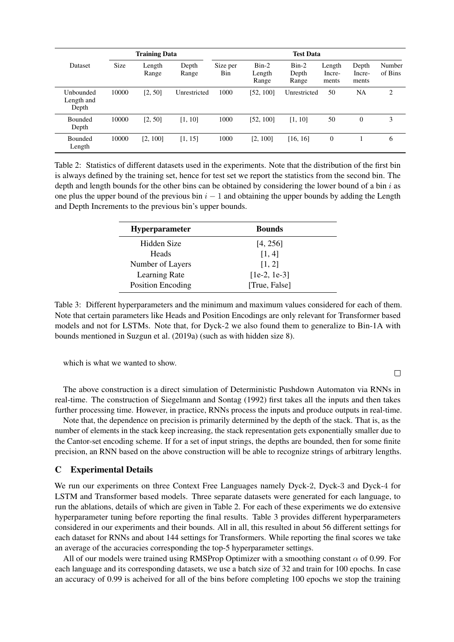| <b>Training Data</b>             |             |                 | <b>Test Data</b> |                 |                            |                           |                           |                          |                   |
|----------------------------------|-------------|-----------------|------------------|-----------------|----------------------------|---------------------------|---------------------------|--------------------------|-------------------|
| <b>Dataset</b>                   | <b>Size</b> | Length<br>Range | Depth<br>Range   | Size per<br>Bin | $Bin-2$<br>Length<br>Range | $Bin-2$<br>Depth<br>Range | Length<br>Incre-<br>ments | Depth<br>Incre-<br>ments | Number<br>of Bins |
| Unbounded<br>Length and<br>Depth | 10000       | [2, 50]         | Unrestricted     | 1000            | [52, 100]                  | Unrestricted              | 50                        | NA                       | 2                 |
| <b>Bounded</b><br>Depth          | 10000       | [2, 50]         | [1, 10]          | 1000            | [52, 100]                  | [1, 10]                   | 50                        | $\overline{0}$           | 3                 |
| <b>Bounded</b><br>Length         | 10000       | [2, 100]        | [1, 15]          | 1000            | [2, 100]                   | [16, 16]                  | $\overline{0}$            |                          | 6                 |

Table 2: Statistics of different datasets used in the experiments. Note that the distribution of the first bin is always defined by the training set, hence for test set we report the statistics from the second bin. The depth and length bounds for the other bins can be obtained by considering the lower bound of a bin  $i$  as one plus the upper bound of the previous bin  $i - 1$  and obtaining the upper bounds by adding the Length and Depth Increments to the previous bin's upper bounds.

| <b>Hyperparameter</b> | <b>Bounds</b>  |
|-----------------------|----------------|
| Hidden Size           | [4, 256]       |
| Heads                 | [1, 4]         |
| Number of Layers      | [1, 2]         |
| Learning Rate         | $[1e-2, 1e-3]$ |
| Position Encoding     | [True, False]  |

Table 3: Different hyperparameters and the minimum and maximum values considered for each of them. Note that certain parameters like Heads and Position Encodings are only relevant for Transformer based models and not for LSTMs. Note that, for Dyck-2 we also found them to generalize to Bin-1A with bounds mentioned in Suzgun et al. (2019a) (such as with hidden size 8).

which is what we wanted to show.

The above construction is a direct simulation of Deterministic Pushdown Automaton via RNNs in real-time. The construction of Siegelmann and Sontag (1992) first takes all the inputs and then takes further processing time. However, in practice, RNNs process the inputs and produce outputs in real-time.

Note that, the dependence on precision is primarily determined by the depth of the stack. That is, as the number of elements in the stack keep increasing, the stack representation gets exponentially smaller due to the Cantor-set encoding scheme. If for a set of input strings, the depths are bounded, then for some finite precision, an RNN based on the above construction will be able to recognize strings of arbitrary lengths.

# C Experimental Details

We run our experiments on three Context Free Languages namely Dyck-2, Dyck-3 and Dyck-4 for LSTM and Transformer based models. Three separate datasets were generated for each language, to run the ablations, details of which are given in Table 2. For each of these experiments we do extensive hyperparameter tuning before reporting the final results. Table 3 provides different hyperparameters considered in our experiments and their bounds. All in all, this resulted in about 56 different settings for each dataset for RNNs and about 144 settings for Transformers. While reporting the final scores we take an average of the accuracies corresponding the top-5 hyperparameter settings.

All of our models were trained using RMSProp Optimizer with a smoothing constant  $\alpha$  of 0.99. For each language and its corresponding datasets, we use a batch size of 32 and train for 100 epochs. In case an accuracy of 0.99 is acheived for all of the bins before completing 100 epochs we stop the training

 $\Box$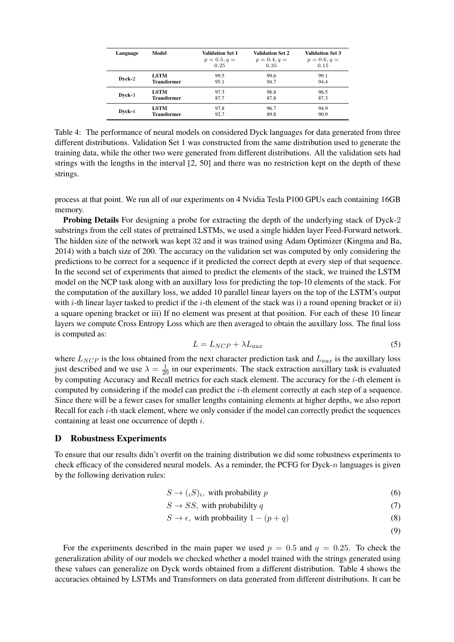| Language | Model              | Validation Set 1<br>$p = 0.5, q =$<br>0.25 | <b>Validation Set 2</b><br>$p = 0.4, q =$<br>0.35 | <b>Validation Set 3</b><br>$p = 0.6, q =$<br>0.15 |
|----------|--------------------|--------------------------------------------|---------------------------------------------------|---------------------------------------------------|
| Dyck-2   | <b>LSTM</b>        | 99.5                                       | 99.6                                              | 99.1                                              |
|          | <b>Transformer</b> | 95.1                                       | 94.7                                              | 94.4                                              |
| Dyck-3   | <b>LSTM</b>        | 97.3                                       | 98.8                                              | 96.5                                              |
|          | <b>Transformer</b> | 87.7                                       | 87.8                                              | 87.3                                              |
| Dvck-4   | <b>LSTM</b>        | 97.8                                       | 96.7                                              | 94.9                                              |
|          | <b>Transformer</b> | 92.7                                       | 89.8                                              | 90.9                                              |

Table 4: The performance of neural models on considered Dyck languages for data generated from three different distributions. Validation Set 1 was constructed from the same distribution used to generate the training data, while the other two were generated from different distributions. All the validation sets had strings with the lengths in the interval [2, 50] and there was no restriction kept on the depth of these strings.

process at that point. We run all of our experiments on 4 Nvidia Tesla P100 GPUs each containing 16GB memory.

Probing Details For designing a probe for extracting the depth of the underlying stack of Dyck-2 substrings from the cell states of pretrained LSTMs, we used a single hidden layer Feed-Forward network. The hidden size of the network was kept 32 and it was trained using Adam Optimizer (Kingma and Ba, 2014) with a batch size of 200. The accuracy on the validation set was computed by only considering the predictions to be correct for a sequence if it predicted the correct depth at every step of that sequence. In the second set of experiments that aimed to predict the elements of the stack, we trained the LSTM model on the NCP task along with an auxillary loss for predicting the top-10 elements of the stack. For the computation of the auxillary loss, we added 10 parallel linear layers on the top of the LSTM's output with i-th linear layer tasked to predict if the i-th element of the stack was i) a round opening bracket or ii) a square opening bracket or iii) If no element was present at that position. For each of these 10 linear layers we compute Cross Entropy Loss which are then averaged to obtain the auxillary loss. The final loss is computed as:

$$
L = L_{NCP} + \lambda L_{aux} \tag{5}
$$

where  $L_{NCP}$  is the loss obtained from the next character prediction task and  $L_{aux}$  is the auxillary loss just described and we use  $\lambda = \frac{1}{20}$  in our experiments. The stack extraction auxillary task is evaluated by computing Accuracy and Recall metrics for each stack element. The accuracy for the i-th element is computed by considering if the model can predict the i-th element correctly at each step of a sequence. Since there will be a fewer cases for smaller lengths containing elements at higher depths, we also report Recall for each *i*-th stack element, where we only consider if the model can correctly predict the sequences containing at least one occurrence of depth i.

### D Robustness Experiments

To ensure that our results didn't overfit on the training distribution we did some robustness experiments to check efficacy of the considered neural models. As a reminder, the PCFG for  $Dyck-n$  languages is given by the following derivation rules:

$$
S \to (iS)_i, \text{ with probability } p \tag{6}
$$

$$
S \to SS, \text{ with probability } q \tag{7}
$$

$$
S \to \epsilon, \text{ with probability } 1 - (p + q) \tag{8}
$$

(9)

For the experiments described in the main paper we used  $p = 0.5$  and  $q = 0.25$ . To check the generalization ability of our models we checked whether a model trained with the strings generated using these values can generalize on Dyck words obtained from a different distribution. Table 4 shows the accuracies obtained by LSTMs and Transformers on data generated from different distributions. It can be